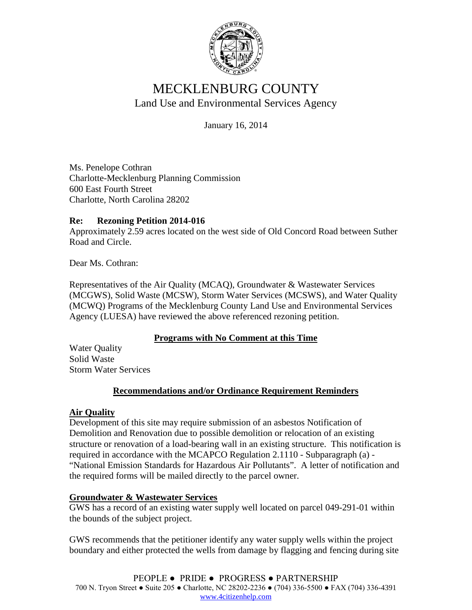

# MECKLENBURG COUNTY Land Use and Environmental Services Agency

January 16, 2014

Ms. Penelope Cothran Charlotte-Mecklenburg Planning Commission 600 East Fourth Street Charlotte, North Carolina 28202

## **Re: Rezoning Petition 2014-016**

Approximately 2.59 acres located on the west side of Old Concord Road between Suther Road and Circle.

Dear Ms. Cothran:

Representatives of the Air Quality (MCAQ), Groundwater & Wastewater Services (MCGWS), Solid Waste (MCSW), Storm Water Services (MCSWS), and Water Quality (MCWQ) Programs of the Mecklenburg County Land Use and Environmental Services Agency (LUESA) have reviewed the above referenced rezoning petition.

### **Programs with No Comment at this Time**

Water Quality Solid Waste Storm Water Services

### **Recommendations and/or Ordinance Requirement Reminders**

### **Air Quality**

Development of this site may require submission of an asbestos Notification of Demolition and Renovation due to possible demolition or relocation of an existing structure or renovation of a load-bearing wall in an existing structure. This notification is required in accordance with the MCAPCO Regulation 2.1110 - Subparagraph (a) - "National Emission Standards for Hazardous Air Pollutants". A letter of notification and the required forms will be mailed directly to the parcel owner.

### **Groundwater & Wastewater Services**

GWS has a record of an existing water supply well located on parcel 049-291-01 within the bounds of the subject project.

GWS recommends that the petitioner identify any water supply wells within the project boundary and either protected the wells from damage by flagging and fencing during site